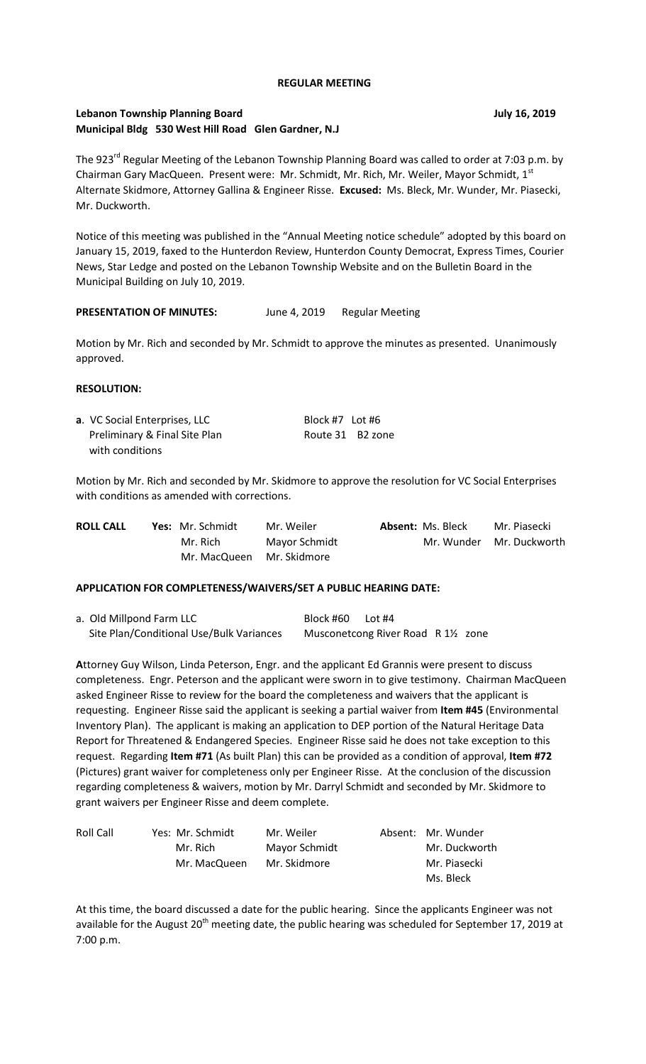#### **REGULAR MEETING**

# **Lebanon Township Planning Board July 16, 2019 Municipal Bldg 530 West Hill Road Glen Gardner, N.J**

The 923<sup>rd</sup> Regular Meeting of the Lebanon Township Planning Board was called to order at 7:03 p.m. by Chairman Gary MacQueen. Present were: Mr. Schmidt, Mr. Rich, Mr. Weiler, Mayor Schmidt, 1<sup>st</sup> Alternate Skidmore, Attorney Gallina & Engineer Risse. **Excused:** Ms. Bleck, Mr. Wunder, Mr. Piasecki, Mr. Duckworth.

Notice of this meeting was published in the "Annual Meeting notice schedule" adopted by this board on January 15, 2019, faxed to the Hunterdon Review, Hunterdon County Democrat, Express Times, Courier News, Star Ledge and posted on the Lebanon Township Website and on the Bulletin Board in the Municipal Building on July 10, 2019.

#### PRESENTATION OF MINUTES: June 4, 2019 Regular Meeting

Motion by Mr. Rich and seconded by Mr. Schmidt to approve the minutes as presented. Unanimously approved.

#### **RESOLUTION:**

| a. VC Social Enterprises, LLC | Block #7 Lot #6  |  |
|-------------------------------|------------------|--|
| Preliminary & Final Site Plan | Route 31 B2 zone |  |
| with conditions               |                  |  |

Motion by Mr. Rich and seconded by Mr. Skidmore to approve the resolution for VC Social Enterprises with conditions as amended with corrections.

| <b>ROLL CALL</b> | <b>Yes:</b> Mr. Schmidt   | Mr. Weiler    | <b>Absent: Ms. Bleck</b> | Mr. Piasecki             |
|------------------|---------------------------|---------------|--------------------------|--------------------------|
|                  | Mr. Rich                  | Mayor Schmidt |                          | Mr. Wunder Mr. Duckworth |
|                  | Mr. MacQueen Mr. Skidmore |               |                          |                          |

#### **APPLICATION FOR COMPLETENESS/WAIVERS/SET A PUBLIC HEARING DATE:**

a. Old Millpond Farm LLC Block #60 Lot #4 Site Plan/Conditional Use/Bulk Variances Musconetcong River Road R 11/2 zone

**A**ttorney Guy Wilson, Linda Peterson, Engr. and the applicant Ed Grannis were present to discuss completeness. Engr. Peterson and the applicant were sworn in to give testimony. Chairman MacQueen asked Engineer Risse to review for the board the completeness and waivers that the applicant is requesting. Engineer Risse said the applicant is seeking a partial waiver from **Item #45** (Environmental Inventory Plan). The applicant is making an application to DEP portion of the Natural Heritage Data Report for Threatened & Endangered Species. Engineer Risse said he does not take exception to this request. Regarding **Item #71** (As built Plan) this can be provided as a condition of approval, **Item #72** (Pictures) grant waiver for completeness only per Engineer Risse. At the conclusion of the discussion regarding completeness & waivers, motion by Mr. Darryl Schmidt and seconded by Mr. Skidmore to grant waivers per Engineer Risse and deem complete.

| Roll Call | Yes: Mr. Schmidt | Mr. Weiler    | Absent: Mr. Wunder |
|-----------|------------------|---------------|--------------------|
|           | Mr. Rich         | Mayor Schmidt | Mr. Duckworth      |
|           | Mr. MacQueen     | Mr. Skidmore  | Mr. Piasecki       |
|           |                  |               | Ms. Bleck          |

At this time, the board discussed a date for the public hearing. Since the applicants Engineer was not available for the August  $20<sup>th</sup>$  meeting date, the public hearing was scheduled for September 17, 2019 at 7:00 p.m.